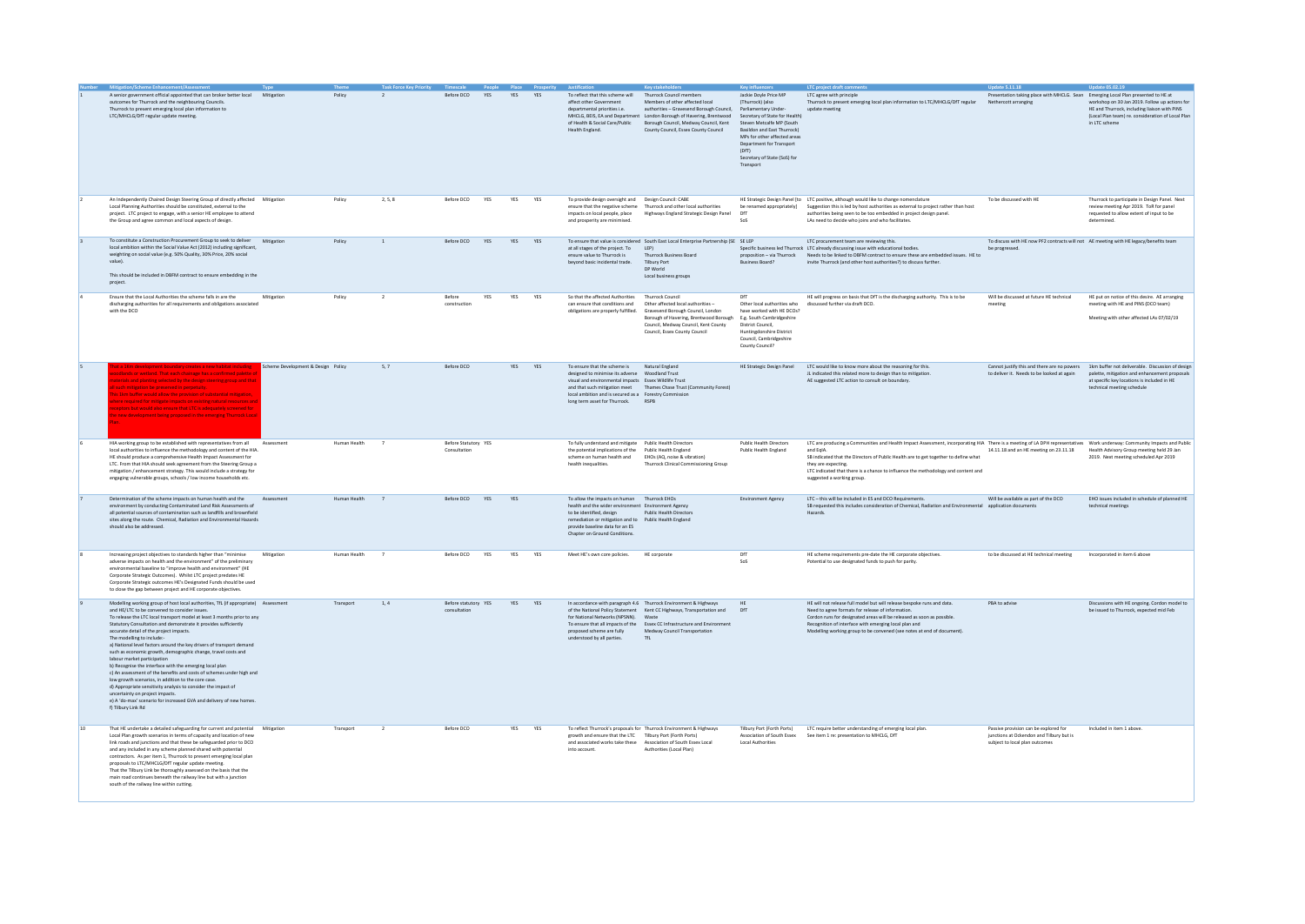|    |                                                                                                                                                                                                                                                                                                                                                                                                                                                                                                                                                                                                                                                                                                                                                                                                                                                                                                                              |                                    |                |                |                                      | People Place Pros |            |            |                                                                                                                                                                                                                                                             | <b>Key stak</b>                                                                                                                                                                                                                                                       | Key in                                                                                                                                                                                                                                                                                 | <b>LTC</b> project draft con                                                                                                                                                                                                                                                                                                                                                                                          | <b>Update 5.11.18</b>                                                                                               | <b>Undate 05.02.19</b>                                                                                                                                                         |
|----|------------------------------------------------------------------------------------------------------------------------------------------------------------------------------------------------------------------------------------------------------------------------------------------------------------------------------------------------------------------------------------------------------------------------------------------------------------------------------------------------------------------------------------------------------------------------------------------------------------------------------------------------------------------------------------------------------------------------------------------------------------------------------------------------------------------------------------------------------------------------------------------------------------------------------|------------------------------------|----------------|----------------|--------------------------------------|-------------------|------------|------------|-------------------------------------------------------------------------------------------------------------------------------------------------------------------------------------------------------------------------------------------------------------|-----------------------------------------------------------------------------------------------------------------------------------------------------------------------------------------------------------------------------------------------------------------------|----------------------------------------------------------------------------------------------------------------------------------------------------------------------------------------------------------------------------------------------------------------------------------------|-----------------------------------------------------------------------------------------------------------------------------------------------------------------------------------------------------------------------------------------------------------------------------------------------------------------------------------------------------------------------------------------------------------------------|---------------------------------------------------------------------------------------------------------------------|--------------------------------------------------------------------------------------------------------------------------------------------------------------------------------|
|    | A senior government official appointed that can broker better local Mitigation<br>outcomes for Thurrock and the neighbouring Councils.<br>Thurrock to present emerging local plan information to<br>LTC/MHCLG/DfT regular update meeting.                                                                                                                                                                                                                                                                                                                                                                                                                                                                                                                                                                                                                                                                                    |                                    | Policy         | $\overline{2}$ | Before DCO                           | YES               | YES YES    |            | To reflect that this scheme will<br>affect other Government<br>departmental priorities i.e.<br>of Health & Social Care/Public<br>Health England.                                                                                                            | Thurrock Council members<br>Members of other affected local<br>authorities - Gravesend Borough Council,<br>MHCLG, BEIS, EA and Department London Borough of Havering, Brentwood<br>Borough Council, Medway Council, Kent<br>County Council, Essex County Council      | Jackie Doyle Price MP<br>(Thurrock) (also<br>Parliamentary Unde<br>Secretary of State for Health)<br>Steven Metcalfe MP (South<br><b>Basildon and Fast Thurrock)</b><br>MPs for other affected areas<br>Department for Transport<br>(DfT)<br>Secretary of State (SoS) for<br>Transport | LTC agree with principle<br>Thurrock to present emerging local plan information to LTC/MHCLG/DfT regular<br>update meeting                                                                                                                                                                                                                                                                                            | Presentation taking place with MHCLG. Sean Emerging Local Plan presented to HE at<br>Nethercott arranging           | workshop on 30 Jan 2019. Follow up actions for<br>HE and Thurrock, including liaison with PINS<br>(Local Plan team) re. consideration of Local Plan<br>in LTC scheme           |
|    | An Independently Chaired Design Steering Group of directly affected Mitigation<br>Local Planning Authorities should be constituted, external to the<br>project. LTC project to engage, with a senior HE employee to attend<br>the Group and agree common and local aspects of design.                                                                                                                                                                                                                                                                                                                                                                                                                                                                                                                                                                                                                                        |                                    | Policy         | 2, 5, 8        | Before DCO                           | YES               | YES YES    |            | To provide design oversight and Design Council: CABE<br>impacts on local people, place<br>and prosperity are minimised.                                                                                                                                     | ensure that the negative scheme Thurrock and other local authorities<br>Highways England Strategic Design Panel                                                                                                                                                       | DFT<br>SoS                                                                                                                                                                                                                                                                             | HE Strategic Design Panel [to LTC positive, although would like to change nomenclature<br>be renamed appropriately] Suggestion this is led by host authorities as external to project rather than host<br>authorities being seen to be too embedded in project design panel.<br>LAs need to decide who joins and who facilitates.                                                                                     | To be discussed with HE                                                                                             | Thurrock to participate in Design Panel. Next<br>review meeting Apr 2019. ToR for panel<br>requested to allow extent of input to be<br>determined.                             |
|    | To constitute a Construction Procurement Group to seek to deliver Mitigation<br>local ambition within the Social Value Act (2012) including significant,<br>weighting on social value (e.g. 50% Quality, 30% Price, 20% social<br>value).<br>This should be included in DBFM contract to ensure embedding in the<br>project.                                                                                                                                                                                                                                                                                                                                                                                                                                                                                                                                                                                                 |                                    | Policy         | $\mathbf{1}$   | Before DCO                           | <b>YES</b>        | YES YES    |            | at all stages of the project. To LEP)<br>ensure value to Thurrock is<br>beyond basic incidental trade.                                                                                                                                                      | To ensure that value is considered South East Local Enterprise Partnership (SE SE LEP<br><b>Thurrock Business Board</b><br>Tilbury Port<br>DP World<br>Local business groups                                                                                          | Business Board?                                                                                                                                                                                                                                                                        | LTC procurement team are reviewing this.<br>Specific business led Thurrock LTC already discussing issue with educational bodies.<br>proposition - via Thurrock Needs to be linked to DBFM contract to ensure these are embedded issues. HE to<br>invite Thurrock (and other host authorities?) to discuss further.                                                                                                    | To discuss with HE now PF2 contracts will not AE meeting with HE legacy/benefits team<br>be progressed.             |                                                                                                                                                                                |
|    | Ensure that the Local Authorities the scheme falls in are the<br>discharging authorities for all requirements and obligations associated<br>with the DCO                                                                                                                                                                                                                                                                                                                                                                                                                                                                                                                                                                                                                                                                                                                                                                     | Mitigation                         | Policy         | $\overline{2}$ | Refore<br>construction               | <b>YFS</b>        | <b>YFS</b> | <b>YFS</b> | So that the affected Authorities<br>can ensure that conditions and                                                                                                                                                                                          | Thurrock Council<br>Other affected local authorities -<br>obligations are properly fulfilled. Gravesend Borough Council, London<br>Borough of Havering, Brentwood Borough<br>Council, Medway Council, Kent County<br>Council, Essex County Council                    | DFT<br>Other local authorities who<br>have worked with HE DCOs?<br>E.g. South Cambridgeshire<br>District Council,<br>Iuntingdonshire District<br>Council, Cambridgeshire<br>County Council?                                                                                            | HE will progress on basis that DfT is the discharging authority. This is to be<br>discussed further via draft DCO.                                                                                                                                                                                                                                                                                                    | Will be discussed at future HF technical<br>meeting                                                                 | HE put on notice of this desire. AE arranging<br>meeting with HE and PINS (DCO team)<br>Meeting with other affected LAs 07/02/19                                               |
|    | ry creates a new habitat including<br>diands or wetland. That each chainage has a confirmed palette<br>terials and planting selected by the design steering group and thi<br>ch mitigation be preserved in perpetuity.<br>1km buffer would allow the provision of substantial mitigation<br>e required for mitigate impacts on existing natural resources an<br>eptors but would also ensure that LTC is adequately screened for<br>lew development being proposed in the emerging Thurrock Loc                                                                                                                                                                                                                                                                                                                                                                                                                              | Scheme Development & Design Policy |                | 5.7            | Before DCO                           |                   | YES YES    |            | To ensure that the scheme is Natural England<br>visual and environmental impacts Essex Wildlife Trust<br>local ambition and is secured as a Forestry Commission<br>long term asset for Thurrock. RSPB                                                       | and that such mitigation meet Thames Chase Trust (Community Forest)                                                                                                                                                                                                   | HE Strategic Design Panel                                                                                                                                                                                                                                                              | LTC would like to know more about the reasoning for this.<br>JL indicated this related more to design than to mitigation.<br>AE suggested LTC action to consult on boundary.                                                                                                                                                                                                                                          | Cannot justify this and there are no powers<br>to deliver it. Needs to be looked at again                           | 1km buffer not deliverable. Discussion of design<br>palette, mitigation and enhancement proposals<br>at specific key locations is included in HE<br>technical meeting schedule |
|    | HIA working group to be established with representatives from all Assessment<br>local authorities to influence the methodology and content of the HIA.<br>HE should produce a comprehensive Health Impact Assessment for<br>LTC. From that HIA should seek agreement from the Steering Group a<br>mitigation / enhancement strategy. This would include a strategy for<br>engaging vulnerable groups, schools / low income households etc.                                                                                                                                                                                                                                                                                                                                                                                                                                                                                   |                                    | Human Health   | $\overline{7}$ | Before Statutory YES<br>Consultation |                   |            |            | To fully understand and mitigate Public Health Directors<br>the potential implications of the Public Health England<br>scheme on human health and<br>health inequalities.                                                                                   | FHOs (AO noise & vibration)<br>Thurrock Clinical Commissioning Group                                                                                                                                                                                                  | <b>Public Health Directors</b><br>Public Health England                                                                                                                                                                                                                                | LTC are producing a Communities and Health Impact Assessment, incorporating HIA There is a meeting of LA DPH representatives Work underway: Community Impacts and Public<br>and FolA<br>SB indicated that the Directors of Public Health are to get together to define what<br>they are expecting.<br>LTC indicated that there is a chance to influence the methodology and content and<br>suggested a working group. | 14.11.18 and an HE meeting on 23.11.18                                                                              | Health Advisory Group meeting held 29 Jan<br>2019 Next meeting scheduled Apr 2019                                                                                              |
|    | Determination of the scheme impacts on human health and the<br>environment by conducting Contaminated Land Risk Assessments of<br>all potential sources of contamination such as landfills and brownfield<br>sites along the route. Chemical, Radiation and Environmental Hazards<br>should also be addressed.                                                                                                                                                                                                                                                                                                                                                                                                                                                                                                                                                                                                               | Assessment                         | Human Health 7 |                | Before DCO YES YES                   |                   |            |            | To allow the impacts on human Thurrock EHOs<br>health and the wider environment Environment Agency<br>to be identified, design<br>remediation or mitigation and to Public Health England<br>provide baseline data for an ES<br>Chapter on Ground Conditions | <b>Public Health Directors</b>                                                                                                                                                                                                                                        | <b>Environment Agency</b>                                                                                                                                                                                                                                                              | LTC - this will be included in ES and DCO Requirements.<br>SB requested this includes consideration of Chemical, Radiation and Environmental application documents<br>Hazards                                                                                                                                                                                                                                         | Will be available as part of the DCO                                                                                | EHO issues included in schedule of planned HE<br>technical meetings                                                                                                            |
|    | Increasing project objectives to standards higher than "minimise<br>adverse impacts on health and the environment" of the preliminary<br>environmental baseline to "improve health and environment" (HE<br>Corporate Strategic Outcomes). Whilst LTC project predates HE<br>Corporate Strategic outcomes HE's Designated Funds should be used<br>to close the gap between project and HE corporate objectives.                                                                                                                                                                                                                                                                                                                                                                                                                                                                                                               | Mitigation                         | Human Health   |                | Before DCO                           | YES               | YES        | YES        | Meet HE's own core policies.                                                                                                                                                                                                                                | HE corporate                                                                                                                                                                                                                                                          | DfT<br>SoS                                                                                                                                                                                                                                                                             | HE scheme requirements pre-date the HE corporate objectives.<br>Potential to use designated funds to push for parity                                                                                                                                                                                                                                                                                                  | to be discussed at HE technical meeting                                                                             | Incorporated in item 6 above                                                                                                                                                   |
|    | Modelling working group of host local authorities. TfL (if appropriate) Assessment<br>and HE/LTC to be convened to consider issues.<br>To release the LTC local transport model at least 3 months prior to any<br>Statutory Consultation and demonstrate it provides sufficiently<br>accurate detail of the project impacts.<br>The modelling to include:<br>a) National level factors around the key drivers of transport demand<br>such as economic growth, demographic change, travel costs and<br>labour market participation<br>b) Recognise the interface with the emerging local plan<br>c) An assessment of the benefits and costs of schemes under high and<br>low growth scenarios, in addition to the core case.<br>d) Appropriate sensitivity analysis to consider the impact of<br>uncertainty on project impacts.<br>e) A 'do-max' scenario for increased GVA and delivery of new homes.<br>f) Tilbury Link Rd |                                    | Transport      | 1.4            | Before statutory YES<br>consultation |                   | YES YES    |            | for National Networks (NPSNN). Waste<br>proposed scheme are fully<br>understood by all parties.                                                                                                                                                             | In accordance with paragraph 4.6 Thurrock Environment & Highways<br>of the National Policy Statement Kent CC Highways, Transportation and<br>To ensure that all impacts of the Essex CC Infrastructure and Environment<br>Medway Council Transportation<br><b>TfL</b> | HE.<br>DFT                                                                                                                                                                                                                                                                             | HE will not release full model but will release bespoke runs and data.<br>Need to agree formats for release of information.<br>Cordon runs for designated areas will be released as soon as possible.<br>Recognition of interface with emerging local plan and<br>Modelling working group to be convened (see notes at end of document).                                                                              | PBA to advise                                                                                                       | Discussions with HE ongoing, Cordon model to<br>be issued to Thurrock, expected mid Feb                                                                                        |
| 10 | That HE undertake a detailed safeguarding for current and potential Mitigation<br>Local Plan growth scenarios in terms of capacity and location of new<br>link roads and junctions and that these be safeguarded prior to DCO<br>and any included in any scheme planned shared with potential<br>contractors. As per item 1, Thurrock to present emerging local plan<br>proposals to LTC/MHCLG/DfT regular update meeting.<br>That the Tilbury Link be thoroughly assessed on the basis that the<br>main road continues beneath the railway line but with a junction<br>south of the railway line within cutting.                                                                                                                                                                                                                                                                                                            |                                    | Transport      | $\overline{2}$ | Before DCO                           |                   | YES        | YES        | growth and ensure that the LTC Tilbury Port (Forth Ports)<br>into account.                                                                                                                                                                                  | To reflect Thurrock's proposals for Thurrock Environment & Highways<br>and associated works take these Association of South Essex Local<br>Authorities (Local Plan)                                                                                                   | Tilbury Port (Forth Ports)<br>Association of South Essex<br><b>Local Authorities</b>                                                                                                                                                                                                   | LTC require better understanding of emerging local plan.<br>See item 1 re: presentation to MHCLG, DfT                                                                                                                                                                                                                                                                                                                 | Passive provision can be explored for<br>junctions at Ockendon and Tilbury but is<br>subject to local plan outcomes | Included in item 1 above                                                                                                                                                       |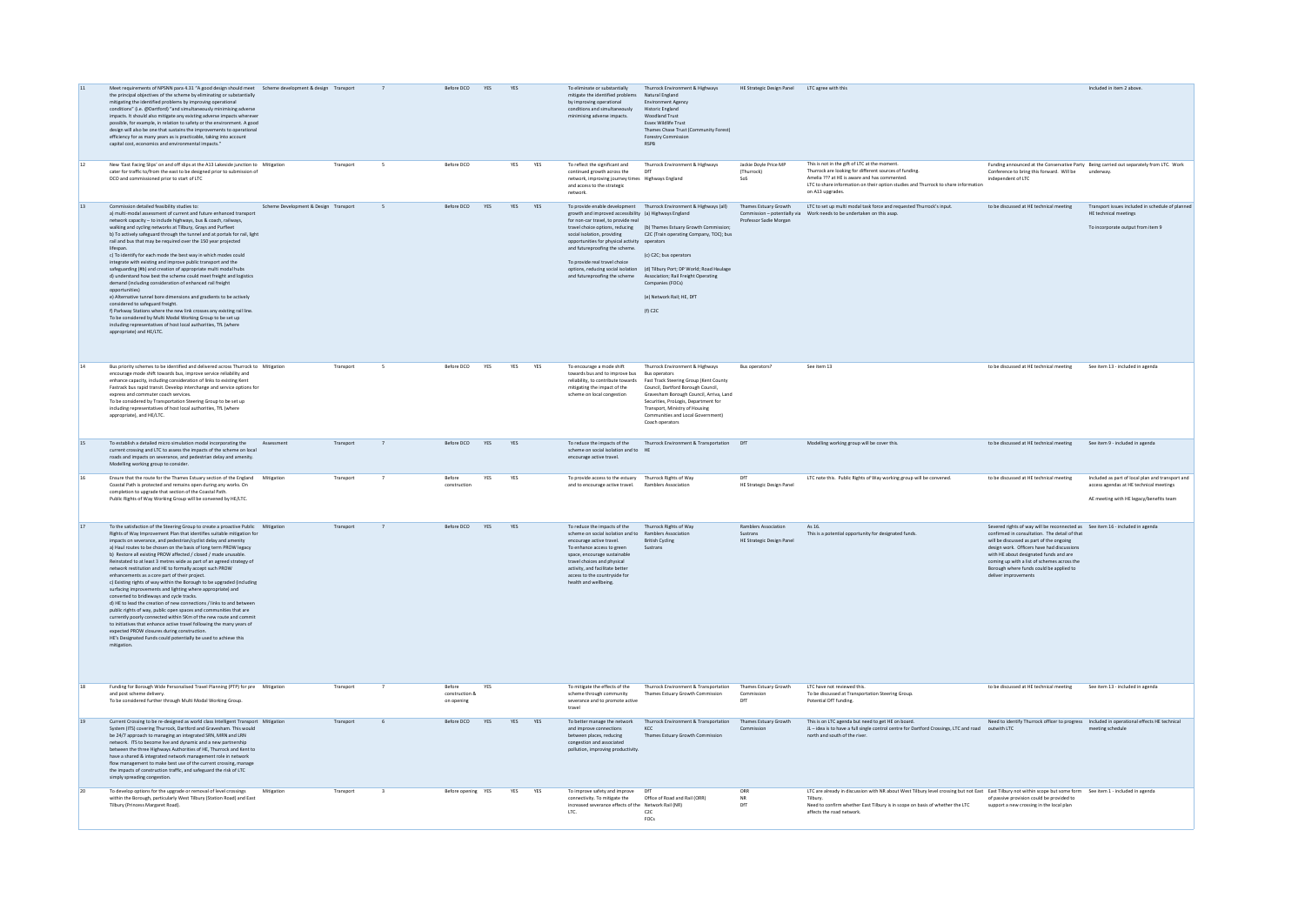| $11\,$          | Meet requirements of NPSNN para 4.31 "A good design should meet Scheme development & design Transport<br>the principal objectives of the scheme by eliminating or substantially<br>mitigating the identified problems by improving operational<br>conditions" (i.e. @Dartford) "and simultaneously minimising adverse<br>impacts. It should also mitigate any existing adverse impacts wherever<br>possible, for example, in relation to safety or the environment. A good<br>design will also be one that sustains the improvements to operational<br>efficiency for as many years as is practicable, taking into account<br>capital cost, economics and environmental impacts."                                                                                                                                                                                                                                                                                                                                                                                                                                                                                          |           |                | Before DCO                             | YES | YES        |     | To eliminate or substantially<br>mitigate the identified problems Natural England<br>by improving operational<br>conditions and simultaneously<br>minimising adverse impacts.                                                                                                                                | Thurrock Environment & Highways<br><b>Environment Agency</b><br><b>Historic England</b><br><b>Woodland Trust</b><br>Essex Wildlife Trust<br>Thames Chase Trust (Community Forest)<br>Forestry Comm<br><b>RSPB</b>                                                                                                                                                                                                  | HE Strategic Design Panel LTC agree with this                              |                                                                                                                                                                                                                                                                                          |                                                                                                                                                                                                                                                                                                                                                                                  | Included in item 2 above.                                                                                                              |
|-----------------|----------------------------------------------------------------------------------------------------------------------------------------------------------------------------------------------------------------------------------------------------------------------------------------------------------------------------------------------------------------------------------------------------------------------------------------------------------------------------------------------------------------------------------------------------------------------------------------------------------------------------------------------------------------------------------------------------------------------------------------------------------------------------------------------------------------------------------------------------------------------------------------------------------------------------------------------------------------------------------------------------------------------------------------------------------------------------------------------------------------------------------------------------------------------------|-----------|----------------|----------------------------------------|-----|------------|-----|--------------------------------------------------------------------------------------------------------------------------------------------------------------------------------------------------------------------------------------------------------------------------------------------------------------|--------------------------------------------------------------------------------------------------------------------------------------------------------------------------------------------------------------------------------------------------------------------------------------------------------------------------------------------------------------------------------------------------------------------|----------------------------------------------------------------------------|------------------------------------------------------------------------------------------------------------------------------------------------------------------------------------------------------------------------------------------------------------------------------------------|----------------------------------------------------------------------------------------------------------------------------------------------------------------------------------------------------------------------------------------------------------------------------------------------------------------------------------------------------------------------------------|----------------------------------------------------------------------------------------------------------------------------------------|
| $12\,$          | New 'East Facing Slips' on and off slips at the A13 Lakeside junction to Mitigation<br>cater for traffic to/from the east to be designed prior to submission of<br>DCO and commissioned prior to start of LTC                                                                                                                                                                                                                                                                                                                                                                                                                                                                                                                                                                                                                                                                                                                                                                                                                                                                                                                                                              | Transport | -5             | Before DCO                             |     | <b>YES</b> | YES | To reflect the significant and<br>continued growth across the<br>network, improving journey times Highways England<br>and access to the strategic<br>network.                                                                                                                                                | Thurrock Environment & Highways<br>DfT                                                                                                                                                                                                                                                                                                                                                                             | Jackie Doyle Price MP<br>(Thurrock)<br>Sos                                 | This is not in the gift of LTC at the moment.<br>Thurrock are looking for different sources of funding.<br>Amelia ??? at HE is aware and has commented.<br>LTC to share information on their option studies and Thurrock to share information<br>on A13 upgrades.                        | Conference to bring this forward. Will be<br>independent of LTC                                                                                                                                                                                                                                                                                                                  | Funding announced at the Conservative Party Being carried out separately from LTC. Work<br>underway.                                   |
| 13              | Commission detailed feasibility studies to:<br>Scheme Development & Design Transport<br>a) multi-modal assessment of current and future enhanced transpor<br>network capacity - to include highways, bus & coach, railways.<br>walking and cycling networks at Tilbury. Grays and Purfleet<br>b) To actively safeguard through the tunnel and at portals for rail, light<br>rail and bus that may be required over the 150 year projected<br>lifesnan<br>c) To identify for each mode the hest way in which modes could<br>integrate with existing and improve public transport and the<br>safeguarding (#b) and creation of appropriate multi modal hubs<br>d) understand how best the scheme could meet freight and logistics<br>demand (including consideration of enhanced rail freight<br>opportunities)<br>e) Alternative tunnel bore dimensions and gradients to be actively<br>considered to safeguard freight.<br>f) Parkway Stations where the new link crosses any existing rail line.<br>To be considered by Multi Modal Working Group to be set up<br>including representatives of host local authorities. TfL (where<br>appropriate) and HE/LTC.             |           | $\mathsf{s}$   | Before DCO YES                         |     | YES YES    |     | growth and improved accessibility (a) Highways England<br>for non-car travel to provide real<br>social isolation, providing<br>opportunities for physical activity operators<br>and futureproofing the scheme.<br>To provide real travel choice<br>and futureproofing the scheme                             | To provide enable development Thurrock Environment & Highways (all)<br>travel choice options, reducing (b) Thames Estuary Growth Commission;<br>C2C (Train operating Company, TOC); bus<br>(c) C2C: bus operators<br>options, reducing social isolation (d) Tilbury Port; DP World; Road Haulage<br>Association; Rail Freight Operating<br>Companies (FOCs)<br>(e) Network Rail: HE, DfT<br>$(f)$ C <sub>2</sub> C | Thames Estuary Growth<br>Professor Sadie Morgan                            | LTC to set up multi modal task force and requested Thurrock's input.                                                                                                                                                                                                                     | to be discussed at HE technical meeting                                                                                                                                                                                                                                                                                                                                          | Transport issues included in schedule of planner<br>HE technical meetings<br>To incorporate output from item 9                         |
| 14              | Bus priority schemes to be identified and delivered across Thurrock to Mitigation<br>encourage mode shift towards bus, improve service reliability and<br>enhance capacity, including consideration of links to existing Kent<br>Fastrack bus rapid transit. Develop interchange and service options for<br>express and commuter coach services.<br>To be considered by Transportation Steering Group to be set up<br>including representatives of host local authorities, TfL (where<br>appropriate), and HE/LTC.                                                                                                                                                                                                                                                                                                                                                                                                                                                                                                                                                                                                                                                         | Transport | -5             | Before DCO                             | YES | YES        | YES | To encourage a mode shift<br>towards bus and to improve bus Bus operators<br>mitigating the impact of the<br>scheme on local congestion                                                                                                                                                                      | Thurrock Environment & Highways<br>reliability, to contribute towards Fast Track Steering Group (Kent County<br>Council, Dartford Borough Council,<br>Gravesham Borough Council, Arriva, Land<br>Securities, ProLogis, Department for<br>Transport, Ministry of Housing<br>Communities and Local Government)<br>Coach operators                                                                                    | Bus operators?                                                             | See item 13                                                                                                                                                                                                                                                                              | to be discussed at HE technical meeting See item 13 - included in agenda                                                                                                                                                                                                                                                                                                         |                                                                                                                                        |
| 15              | To establish a detailed micro simulation modal incorporating the<br>Assessment<br>current crossing and LTC to assess the impacts of the scheme on local<br>roads and impacts on severance, and pedestrian delay and amenity.<br>Modelling working group to consider.                                                                                                                                                                                                                                                                                                                                                                                                                                                                                                                                                                                                                                                                                                                                                                                                                                                                                                       | Transport |                | Before DCO YES                         |     | YES        |     | scheme on social isolation and to HE<br>encourage active travel.                                                                                                                                                                                                                                             | To reduce the impacts of the Thurrock Environment & Transportation DfT                                                                                                                                                                                                                                                                                                                                             |                                                                            | Modelling working group will be cover this.                                                                                                                                                                                                                                              | to be discussed at HE technical meeting                                                                                                                                                                                                                                                                                                                                          | See item 9 - included in agenda                                                                                                        |
| $16\,$          | Ensure that the route for the Thames Estuary section of the England Mitigation<br>Coastal Path is protected and remains open during any works. On<br>completion to upgrade that section of the Coastal Path.<br>Public Rights of Way Working Group will be convened by HE/LTC.                                                                                                                                                                                                                                                                                                                                                                                                                                                                                                                                                                                                                                                                                                                                                                                                                                                                                             | Transport |                | Before<br>construction                 | YES | YES        |     | To provide access to the estuary Thurrock Rights of Way<br>and to encourage active travel.                                                                                                                                                                                                                   | Ramblers Association                                                                                                                                                                                                                                                                                                                                                                                               | <b>HE Strategic Design Pane</b>                                            | LTC note this. Public Rights of Way working group will be convened.                                                                                                                                                                                                                      | to be discussed at HE technical meeting                                                                                                                                                                                                                                                                                                                                          | Included as part of local plan and transport and<br>access agendas at HE technical meetings<br>AE meeting with HE legacy/benefits team |
| 17              | To the satisfaction of the Steering Group to create a proactive Public Mitigation<br>Rights of Way Improvement Plan that identifies suitable mitigation for<br>impacts on severance, and pedestrian/cyclist delay and amenity<br>a) Haul routes to be chosen on the basis of long term PROW legacy<br>b) Restore all existing PROW affected / closed / made unusable.<br>Reinstated to at least 3 metres wide as part of an agreed strategy of<br>network restitution and HE to formally accept such PROW<br>enhancements as a core part of their project.<br>c) Existing rights of way within the Borough to be upgraded (including<br>surfacing improvements and lighting where appropriate) and<br>converted to bridleways and cycle tracks.<br>d) HE to lead the creation of new connections / links to and between<br>public rights of way, public open spaces and communities that are<br>currently poorly connected within 5Km of the new route and commit<br>to initiatives that enhance active travel following the many years of<br>expected PROW closures during construction.<br>HE's Designated Funds could potentially be used to achieve this<br>mitigation | Transport | $\overline{7}$ | Before DCO YES                         |     | YES        |     | To reduce the impacts of the<br>scheme on social isolation and to Ramblers Association<br>encourage active travel.<br>To enhance access to green<br>space, encourage sustainable<br>travel choices and physical<br>activity, and facilitate better<br>access to the countryside for<br>health and wellbeing. | Thurrock Rights of Way<br><b>British Cycling</b><br>Sustrans                                                                                                                                                                                                                                                                                                                                                       | <b>Ramblers Association</b><br><b>Sustrans</b><br>HE Strategic Design Pane | As 16<br>This is a potential opportunity for designated funds.                                                                                                                                                                                                                           | Severed rights of way will be reconnected as See item 16 - included in agenda<br>confirmed in consultation. The detail of that<br>will be discussed as part of the ongoing<br>design work. Officers have had discuss<br>with HE about designated funds and are<br>coming up with a list of schemes across the<br>Borough where funds could be applied to<br>deliver improvements |                                                                                                                                        |
| 18              | Funding for Borough Wide Personalised Travel Planning (PTP) for pre Mitigation<br>and post scheme delivery.<br>To be considered further through Multi Modal Working Group.                                                                                                                                                                                                                                                                                                                                                                                                                                                                                                                                                                                                                                                                                                                                                                                                                                                                                                                                                                                                 | Transport | $\overline{7}$ | Before<br>construction &<br>on opening | YES |            |     | To mitigate the effects of the<br>scheme through community<br>severance and to promote active                                                                                                                                                                                                                | Thurrock Environment & Transportation<br>Thames Estuary Growth Commission                                                                                                                                                                                                                                                                                                                                          | Thames Estuary Growth<br>Commission                                        | LTC have not reviewed this.<br>To be discussed at Transportation Steering Group.<br>Potential DfT funding.                                                                                                                                                                               | to be discussed at HE technical meeting                                                                                                                                                                                                                                                                                                                                          | See item 13 - included in agenda                                                                                                       |
| 19              | Current Crossing to be re-designed as world class Intelligent Transport Mitigation<br>System (ITS) covering Thurrock, Dartford and Gravesham, This would<br>be 24/7 approach to managing an integrated SRN, MRN and LRN<br>network. ITS to become live and dynamic and a new partnership<br>between the three Highways Authorities of HE, Thurrock and Kent to<br>have a shared & integrated network management role in network<br>flow management to make best use of the current crossing, manage<br>the impacts of construction traffic, and safeguard the risk of LTC<br>simply spreading congestion.                                                                                                                                                                                                                                                                                                                                                                                                                                                                                                                                                                  | Transport | 6              | Before DCO YES YES YES                 |     |            |     | and improve connections<br>between places, reducing<br>congestion and associated<br>pollution, improving productivity.                                                                                                                                                                                       | To better manage the network Thurrock Environment & Transportation Thames Estuary Growth<br>KCC<br>Thames Estuary Growth Commission                                                                                                                                                                                                                                                                                | Commission                                                                 | This is on LTC agenda but need to get HE on board.<br>JL - idea is to have a full single control centre for Dartford Crossings. LTC and road outwith LTC<br>north and south of the river.                                                                                                | Need to identify Thurrock officer to progress Included in operational effects HE technical                                                                                                                                                                                                                                                                                       | meeting schedule                                                                                                                       |
| 20 <sub>0</sub> | To develop options for the upgrade or removal of level crossings<br>Mitigation<br>within the Borough, particularly West Tilbury (Station Road) and East<br>Tilbury (Princess Margaret Road).                                                                                                                                                                                                                                                                                                                                                                                                                                                                                                                                                                                                                                                                                                                                                                                                                                                                                                                                                                               | Transport | $\overline{a}$ | Before opening YES                     |     | YES YES    |     | To improve safety and improve DfT<br>connectivity. To mitigate the<br>increased severance effects of the Network Rail (NR)<br>LTC.                                                                                                                                                                           | Office of Road and Rail (ORR)<br>C2C<br>FOCs                                                                                                                                                                                                                                                                                                                                                                       | ORR<br><b>NR</b>                                                           | LTC are already in discussion with NR about West Tilbury level crossing but not East East Tilbury not within scope but some form See item 1 - included in agenda<br>Tilbury.<br>Need to confirm whether East Tilbury is in scope on basis of whether the LTC<br>affects the road network | of passive provision could be provided to<br>support a new crossing in the local plan                                                                                                                                                                                                                                                                                            |                                                                                                                                        |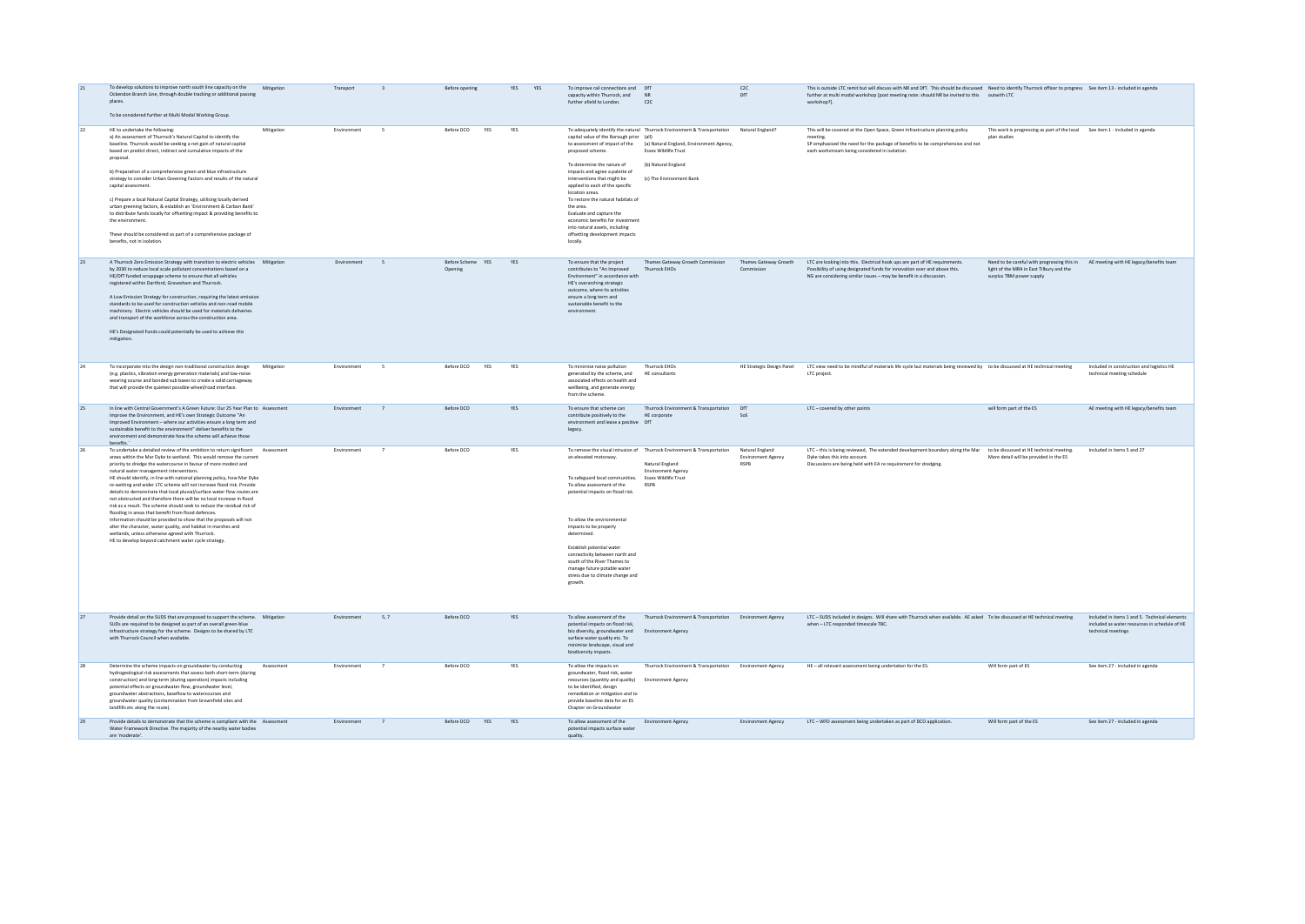| 21 | To develop solutions to improve north south line capacity on the<br>Ockendon Branch Line, through double tracking or additional passing<br>places.<br>To be considered further at Multi Modal Working Group.                                                                                                                                                                                                                                                                                                                                                                                                                                                                                                                                                                                                                                                                                                                                                       | Mitigation | Transport   |                          | Before opening               | YES<br>YES | To improve rail connections and DfT<br>capacity within Thurrock, and<br>further afield to London.                                                                                                                                                                                                                                                                                                                   | <b>NR</b><br>C2C                                                                                                                                                                                                                                       | C <sub>2C</sub><br>DfT                        | This is outside LTC remit but will discuss with NR and DfT. This should be discussed Need to identify Thurrock officer to progress See item 13 - included in agenda<br>further at multi modal workshop [post meeting note: should NR be invited to this outwith LTC<br>workshop?]. |                                                                                                                                                             |                                                                                                                      |
|----|--------------------------------------------------------------------------------------------------------------------------------------------------------------------------------------------------------------------------------------------------------------------------------------------------------------------------------------------------------------------------------------------------------------------------------------------------------------------------------------------------------------------------------------------------------------------------------------------------------------------------------------------------------------------------------------------------------------------------------------------------------------------------------------------------------------------------------------------------------------------------------------------------------------------------------------------------------------------|------------|-------------|--------------------------|------------------------------|------------|---------------------------------------------------------------------------------------------------------------------------------------------------------------------------------------------------------------------------------------------------------------------------------------------------------------------------------------------------------------------------------------------------------------------|--------------------------------------------------------------------------------------------------------------------------------------------------------------------------------------------------------------------------------------------------------|-----------------------------------------------|------------------------------------------------------------------------------------------------------------------------------------------------------------------------------------------------------------------------------------------------------------------------------------|-------------------------------------------------------------------------------------------------------------------------------------------------------------|----------------------------------------------------------------------------------------------------------------------|
| 22 | HE to undertake the following:<br>a) An assessment of Thurrock's Natural Capital to identify the<br>baseline. Thurrock would be seeking a net gain of natural capital<br>based on predict direct, indirect and cumulative impacts of the<br>proposal.<br>b) Preparation of a comprehensive green and blue infrastructure<br>strategy to consider Urban Greening Factors and results of the natural<br>capital assessment.<br>c) Prepare a local Natural Capital Strategy, utilising locally derived<br>urban greening factors. & establish an 'Environment & Carbon Bank'<br>to distribute funds locally for offsetting impact & providing benefits to<br>the environment<br>These should be considered as part of a comprehensive package of<br>benefits, not in isolation.                                                                                                                                                                                       | Mitigation | Environment | $\sim$                   | Before DCO<br><b>YFS</b>     | <b>YFS</b> | capital value of the Borough prior (all)<br>proposed scheme<br>To determine the nature of<br>impacts and agree a palette of<br>interventions that might be<br>applied to each of the specific<br>location areas.<br>To restore the natural habitats of<br>the area.<br>Evaluate and capture the<br>economic benefits for investment<br>into natural assets, including<br>offsetting development impacts<br>locally. | To adequately identify the natural Thurrock Environment & Transportation Natural England?<br>to assessment of impact of the (a) Natural England, Environment Agency,<br><b>Essex Wildlife Trust</b><br>(b) Natural England<br>(c) The Environment Bank |                                               | This will be covered at the Open Space. Green Infrastructure planning policy<br>meeting<br>SP emphasised the need for the package of benefits to be comprehensive and not<br>each workstream being considered in isolation.                                                        | This work is progressing as part of the local See item 1 - included in agenda<br>plan studies                                                               |                                                                                                                      |
| 23 | A Thurrock Zero Emission Strategy with transition to electric vehicles Mitigation<br>by 2030 to reduce local scale pollutant concentrations based on a<br>HE/DfT funded scrappage scheme to ensure that all vehicles<br>registered within Dartford, Gravesham and Thurrock.<br>A Low Emission Strategy for construction, requiring the latest emission<br>standards to be used for construction vehicles and non-road mobile<br>machinery. Electric vehicles should be used for materials deliveries<br>and transport of the workforce across the construction area.<br>HE's Designated Funds could potentially be used to achieve this<br>mitigation.                                                                                                                                                                                                                                                                                                             |            | Environment | $\sim$                   | Before Scheme YES<br>Opening | YES        | To ensure that the project<br>contributes to "An Improved<br>Environment" in accordance with<br>HE's overarching strategic<br>outcome, where its activities<br>ensure a long term and<br>sustainable benefit to the<br>environment.                                                                                                                                                                                 | Thames Gateway Growth Commission<br><b>Thurrock EHOs</b>                                                                                                                                                                                               | Thames Gateway Growth<br>Commission           | LTC are looking into this. Electrical hook ups are part of HE requirements.<br>Possibility of using designated funds for innovation over and above this.<br>NG are considering similar issues - may be benefit in a discussion.                                                    | Need to be careful with progressing this in AE meeting with HE legacy/benefits team<br>light of the MRA in East Tilbury and the<br>surplus TBM power supply |                                                                                                                      |
| 24 | To incorporate into the design non-traditional construction design<br>(e.g. plastics, vibration energy generation materials) and low-noise<br>wearing course and bonded sub bases to create a solid carriageway<br>that will provide the quietest possible wheel/road interface.                                                                                                                                                                                                                                                                                                                                                                                                                                                                                                                                                                                                                                                                                   | Mitigation | Environment | $\overline{\phantom{a}}$ | Before DCO<br>YES            | YES        | To minimise noise pollution<br>generated by the scheme, and<br>associated effects on health and<br>wellbeing, and generate energy<br>from the scheme.                                                                                                                                                                                                                                                               | <b>Thurrock EHOs</b><br>HF consultants                                                                                                                                                                                                                 | HE Strategic Design Panel                     | LTC view need to be mindful of materials life cycle but materials being reviewed by to be discussed at HE technical meeting<br>LTC project                                                                                                                                         |                                                                                                                                                             | Included in construction and logistics HE<br>technical meeting schedule                                              |
| 25 | In line with Central Government's A Green Future: Our 25 Year Plan to Assessment<br>Improve the Environment, and HE's own Strategic Outcome "An<br>Improved Environment - where our activities ensure a long term and<br>sustainable benefit to the environment" deliver benefits to the<br>environment and demonstrate how the scheme will achieve those<br>benefits."                                                                                                                                                                                                                                                                                                                                                                                                                                                                                                                                                                                            |            | Environment | $\overline{7}$           | Before DCO                   | <b>YFS</b> | To ensure that scheme can<br>contribute positively to the<br>environment and leave a positive DfT<br>legacy.                                                                                                                                                                                                                                                                                                        | Thurrock Environment & Transportation<br>HE corporate                                                                                                                                                                                                  | DFT<br>202                                    | ITC - covered by other noints                                                                                                                                                                                                                                                      | will form part of the ES                                                                                                                                    | AF meeting with HF legacy/benefits team                                                                              |
| 26 | To undertake a detailed review of the ambition to return significant Assessment<br>areas within the Mar Dyke to wetland. This would remove the current<br>priority to dredge the watercourse in favour of more modest and<br>natural water management interventions.<br>HE should identify, in line with national planning policy, how Mar Dyke<br>re-wetting and wider LTC scheme will not increase flood risk. Provide<br>details to demonstrate that local pluvial/surface water flow routes are<br>not obstructed and therefore there will be no local increase in flood<br>risk as a result. The scheme should seek to reduce the residual risk of<br>flooding in areas that benefit from flood defences.<br>Information should be provided to show that the proposals will not<br>alter the character, water quality, and habitat in marshes and<br>wetlands, unless otherwise agreed with Thurrock.<br>HE to develop beyond catchment water cycle strategy. |            | Environment | $\overline{7}$           | Before DCO                   | <b>YFS</b> | an elevated motorway<br>To safeguard local communities. Essex Wildlife Trust<br>To allow assessment of the<br>potential impacts on flood risk.<br>To allow the environmental<br>impacts to be properly<br>determined.<br>Establish potential water<br>connectivity between north and<br>south of the River Thames to<br>manage future potable water<br>stress due to climate change and<br>growth.                  | To remove the visual intrusion of Thurrock Environment & Transportation<br>Natural England<br><b>Environment Agency</b><br>RSPB                                                                                                                        | Natural England<br>Environment Agency<br>RSPR | LTC - this is being reviewed. The extended development boundary along the Mar to be discussed at HE technical meeting.<br>Dyke takes this into account.<br>Discussions are being held with EA re requirement for dredging                                                          | More detail will be provided in the ES                                                                                                                      | Included in items 5 and 27                                                                                           |
| 27 | Provide detail on the SUDS that are proposed to support the scheme.  Mitigation<br>SUDs are required to be designed as part of an overall green-blue<br>infrastructure strategy for the scheme. Designs to be shared by LTC<br>with Thurrock Council when available.                                                                                                                                                                                                                                                                                                                                                                                                                                                                                                                                                                                                                                                                                               |            | Environment | 5.7                      | Before DCO                   | YES        | To allow assessment of the<br>potential impacts on flood risk<br>bio diversity, groundwater and<br>surface water quality etc. To<br>minimise landscape, visual and<br>biodiversity impacts.                                                                                                                                                                                                                         | Thurrock Environment & Transportation Environment Agency<br>Environment Agency                                                                                                                                                                         |                                               | LTC - SUDS included in designs. Will share with Thurrock when available. AE asked To be discussed at HE technical meeting<br>when - LTC responded timescale TBC.                                                                                                                   |                                                                                                                                                             | Included in items 1 and 5. Technical elements<br>included as water resources in schedule of HE<br>technical meetings |
| 28 | Determine the scheme impacts on groundwater by conducting<br>hydrogeological risk assessments that assess both short-term (during<br>construction) and long-term (during operation) impacts including<br>potential effects on groundwater flow, groundwater level,<br>groundwater abstractions, baseflow to watercourses and<br>groundwater quality (contamination from brownfield sites and<br>landfills etc along the route).                                                                                                                                                                                                                                                                                                                                                                                                                                                                                                                                    | Assessment | Environment | $\overline{7}$           | Before DCO                   | YES        | To allow the impacts on<br>groundwater, flood risk, water<br>resources (quantity and quality)<br>to be identified, design<br>remediation or mitigation and to<br>provide baseline data for an ES<br>Chanter on Groundwater                                                                                                                                                                                          | Thurrock Environment & Transportation Environment Agency<br>Environment Agency                                                                                                                                                                         |                                               | HE - all relevant assessment being undertaken for the ES.                                                                                                                                                                                                                          | Will form part of ES                                                                                                                                        | See item 27 - included in agenda                                                                                     |
|    | Provide details to demonstrate that the scheme is compliant with the Assessment<br>Water Framework Directive. The majority of the nearby water bodies<br>are 'moderate                                                                                                                                                                                                                                                                                                                                                                                                                                                                                                                                                                                                                                                                                                                                                                                             |            | Environment | $\overline{7}$           | Before DCO<br>YES            | YES        | To allow assessment of the<br>potential impacts surface water<br>quality.                                                                                                                                                                                                                                                                                                                                           | Environment Agency                                                                                                                                                                                                                                     | Environment Agency                            | LTC - WFD assessment being undertaken as part of DCO application.                                                                                                                                                                                                                  | Will form part of the ES                                                                                                                                    | See item 27 - included in agenda                                                                                     |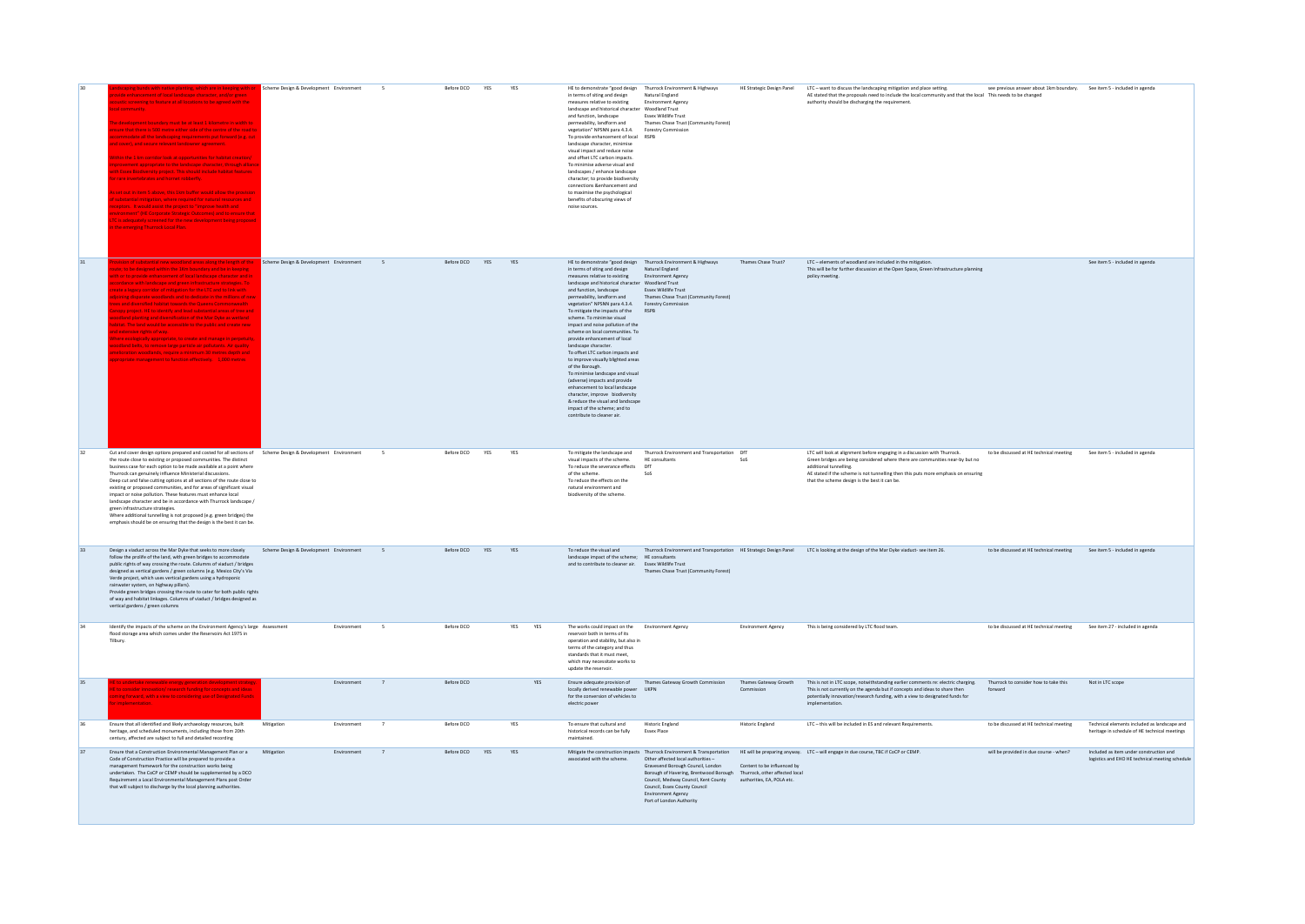|    | i <mark>s bunds with native planting, which are in keeping with or</mark><br>de enhancement of local landscape character, and/or green<br>ustic screening to feature at all locations to be agreed with the<br>I community.<br>development boundary must be at least 1 kilometre in width to<br>ure that there is 500 metre either side of the centre of the road t<br>ommodate all the landscaping requirements put forward (e.g. cut<br>cover), and secure relevant landowner agreement.<br>in the 1 km corridor look at opportunities for habitat creation<br>ovement appropriate to the landscape character, through allian<br>h Essex Biodiversity project. This should include habitat features<br>rare invertebrates and homet robberfly<br>set out in item 5 above, this 1km buffer would allow the provision<br>substantial mitigation, where required for natural resources and<br>eptors. It would assist the project to "improve health and<br>ronment" (HE Corporate Strategic Outcomes) and to ensure tha<br>Is adequately screened for the new development being propose<br>the emerging Thurrock Local Plan. | Scheme Design & Development Environment   |             |                | Before DCO         | YES | YES               | in terms of siting and design<br>measures relative to existing<br>landscape and historical character Woodland Trust<br>and function, landscape<br>permeability, landform and<br>vegetation" NPSNN para 4.3.4. Forestry Commission<br>To provide enhancement of local RSPR<br>landscape character, minimise<br>visual impact and reduce noise<br>and offset LTC carbon impacts.<br>To minimise adverse visual and<br>landscapes / enhance landscape<br>character: to provide biodiversity<br>connections &enhancement and<br>to maximise the psychological<br>benefits of obscuring views of<br>noise sources.                                                                                                                                                                    | HE to demonstrate "good design Thurrock Environment & Highways<br>Natural England<br>Environment Agency<br>Essex Wildlife Trust<br>Thames Chase Trust (Community Forest)                                                                                                                               | HE Strategic Design Panel           | LTC - want to discuss the landscaping mitigation and place setting.<br>AE stated that the proposals need to include the local community and that the local This needs to be changed<br>authority should be discharging the requirement.                                                                                     | see previous answer about 1km boundary. See item 5 - included in agenda |                                                                                               |
|----|------------------------------------------------------------------------------------------------------------------------------------------------------------------------------------------------------------------------------------------------------------------------------------------------------------------------------------------------------------------------------------------------------------------------------------------------------------------------------------------------------------------------------------------------------------------------------------------------------------------------------------------------------------------------------------------------------------------------------------------------------------------------------------------------------------------------------------------------------------------------------------------------------------------------------------------------------------------------------------------------------------------------------------------------------------------------------------------------------------------------------|-------------------------------------------|-------------|----------------|--------------------|-----|-------------------|----------------------------------------------------------------------------------------------------------------------------------------------------------------------------------------------------------------------------------------------------------------------------------------------------------------------------------------------------------------------------------------------------------------------------------------------------------------------------------------------------------------------------------------------------------------------------------------------------------------------------------------------------------------------------------------------------------------------------------------------------------------------------------|--------------------------------------------------------------------------------------------------------------------------------------------------------------------------------------------------------------------------------------------------------------------------------------------------------|-------------------------------------|-----------------------------------------------------------------------------------------------------------------------------------------------------------------------------------------------------------------------------------------------------------------------------------------------------------------------------|-------------------------------------------------------------------------|-----------------------------------------------------------------------------------------------|
| 31 | of substantial new woodland areas along the length of the<br>te: to be designed within the 1Km boundary and be in keeping<br>or to provide enhancement of local landscape character and in<br>lance with landscape and green infrastructure strategies. To<br>a legacy corridor of mitigation for the LTC and to link with<br>ing disparate woodlands and to dedicate in the millions of ne<br>and diversified habitat towards the Queens Commonwealth<br>ov project. HE to identify and lead substantial areas of tree and<br><b>Sland planting and diversification of the Mar Dyke as wetland</b><br>at. The land would be accessible to the public and create new<br>extensive rights of way.<br>ere ecologically appropriate, to create and manage in perpetuity<br>ofland belts, to remove large particle air pollutants. Air quality<br>Hioration woodlands, require a minimum 30 metres depth and<br>poriate management to function effectively. 1.000 metres                                                                                                                                                         | Scheme Design & Development Environment 5 |             |                | Before DCO YES YES |     |                   | in terms of siting and design<br>measures relative to existing<br>landscape and historical character Woodland Trust<br>and function, landscape<br>permeability, landform and<br>vegetation" NPSNN para 4.3.4. Forestry Commission<br>To mitigate the impacts of the RSPB<br>scheme. To minimise visual<br>impact and noise pollution of the<br>scheme on local communities. To<br>provide enhancement of local<br>landscape character.<br>To offset LTC carbon impacts and<br>to improve visually blighted areas<br>of the Borough.<br>To minimise landscape and visual<br>(adverse) impacts and provide<br>enhancement to local landscape<br>character, improve biodiversity<br>& reduce the visual and landscape<br>impact of the scheme; and to<br>contribute to cleaner air. | HE to demonstrate "good design Thurrock Environment & Highways<br>Natural England<br>Environment Agency<br>Essex Wildlife Trust<br>Thames Chase Trust (Community Forest)                                                                                                                               | Thames Chase Trust?                 | LTC - elements of woodland are included in the mitigation.<br>This will be for further discussion at the Open Space. Green Infrastructure planning<br>policy meeting.                                                                                                                                                       |                                                                         | See item 5 - included in agenda                                                               |
| 32 | Cut and cover design options prepared and costed for all sections of Scheme Design & Development Environment<br>the route close to existing or proposed communities. The distinct<br>business case for each option to be made available at a point where<br>Thurrock can genuinely influence Ministerial discussions.<br>Deep cut and false cutting options at all sections of the route close to<br>existing or proposed communities, and for areas of significant visual<br>impact or noise pollution. These features must enhance local<br>landscape character and be in accordance with Thurrock landscape /<br>green infrastructure strategies.<br>Where additional tunnelling is not proposed (e.g. green bridges) the<br>emphasis should be on ensuring that the design is the best it can be.                                                                                                                                                                                                                                                                                                                        |                                           |             | $\sim$         | Before DCO YES     |     | <b>YFS</b>        | visual impacts of the scheme.<br>To reduce the severance effects<br>of the scheme.<br>To reduce the effects on the<br>natural environment and<br>biodiversity of the scheme.                                                                                                                                                                                                                                                                                                                                                                                                                                                                                                                                                                                                     | To mitigate the landscape and Thurrock Environment and Transportation DfT<br>HE consultants<br>DFT<br>SoS                                                                                                                                                                                              | SoS                                 | LTC will look at alignment before engaging in a discussion with Thurrock.<br>Green bridges are being considered where there are communities near-by but no<br>additional tunnelling.<br>AE stated if the scheme is not tunnelling then this puts more emphasis on ensuring<br>that the scheme design is the best it can be. | to be discussed at HE technical meeting                                 | See item 5 - included in agenda                                                               |
| 33 | Design a viaduct across the Mar Dyke that seeks to more closely<br>follow the prolife of the land, with green bridges to accommodate<br>public rights of way crossing the route. Columns of viaduct / bridges<br>designed as vertical gardens / green columns (e.g. Mexico City's Via<br>Verde project, which uses vertical gardens using a hydroponic<br>rainwater system, on highway pillars).<br>Provide green bridges crossing the route to cater for both public rights<br>of way and habitat linkages. Columns of viaduct / bridges designed as<br>vertical gardens / green columns                                                                                                                                                                                                                                                                                                                                                                                                                                                                                                                                    | Scheme Design & Development Environment 5 |             |                | Before DCO YES YES |     |                   | To reduce the visual and<br>landscape impact of the scheme; HE consultants<br>and to contribute to cleaner air. Essex Wildlife Trust                                                                                                                                                                                                                                                                                                                                                                                                                                                                                                                                                                                                                                             | Thames Chase Trust (Community Forest)                                                                                                                                                                                                                                                                  |                                     | Thurrock Environment and Transportation HE Strategic Design Panel LTC is looking at the design of the Mar Dyke viaduct-see item 26.                                                                                                                                                                                         | to be discussed at HE technical meeting See item 5 - included in agenda |                                                                                               |
| 34 | Identify the impacts of the scheme on the Environment Agency's large Assessment<br>flood storage area which comes under the Reservoirs Act 1975 in<br>Tilbury.                                                                                                                                                                                                                                                                                                                                                                                                                                                                                                                                                                                                                                                                                                                                                                                                                                                                                                                                                               |                                           | Environment | $\sim$         | Before DCO         |     | <b>YES</b><br>YES | The works could impact on the Environment Agency<br>reservoir both in terms of its<br>operation and stability, but also in<br>terms of the category and thus<br>standards that it must meet.<br>which may necessitate works to<br>update the reservoir.                                                                                                                                                                                                                                                                                                                                                                                                                                                                                                                          |                                                                                                                                                                                                                                                                                                        | Environment Agency                  | This is being considered by LTC flood team.                                                                                                                                                                                                                                                                                 | to be discussed at HE technical meeting                                 | See item 27 - included in agenda                                                              |
| 35 | undertake renewable energy generation development strateg<br>consider innovation/research funding for concepts and ideas<br>hing forward, with a view to considering use of Designated Funds<br>molementation                                                                                                                                                                                                                                                                                                                                                                                                                                                                                                                                                                                                                                                                                                                                                                                                                                                                                                                |                                           |             | $\overline{7}$ | Before DCO         |     | <b>YFS</b>        | locally derived renewable power UKPN<br>for the conversion of vehicles to<br>electric power                                                                                                                                                                                                                                                                                                                                                                                                                                                                                                                                                                                                                                                                                      | Ensure adequate provision of Thames Gateway Growth Commission                                                                                                                                                                                                                                          | Thames Gateway Growth<br>Commission | This is not in LTC scope, notwithstanding earlier comments re: electric charging.<br>This is not currently on the agenda but if concepts and ideas to share then<br>potentially innovation/research funding, with a view to designated funds for<br>implementation.                                                         | Thurrock to consider how to take this<br>forward                        | Not in LTC scope                                                                              |
| 36 | Ensure that all identified and likely archaeology resources, built<br>heritage, and scheduled monuments, including those from 20th<br>century, affected are subject to full and detailed recording                                                                                                                                                                                                                                                                                                                                                                                                                                                                                                                                                                                                                                                                                                                                                                                                                                                                                                                           | Mitigation                                | Environment | $\overline{7}$ | Before DCO         |     | YES               | To ensure that cultural and<br>historical records can be fully<br>maintained.                                                                                                                                                                                                                                                                                                                                                                                                                                                                                                                                                                                                                                                                                                    | <b>Historic England</b><br>Essex Place                                                                                                                                                                                                                                                                 | <b>Historic England</b>             | LTC - this will be included in ES and relevant Requirements.                                                                                                                                                                                                                                                                | to be discussed at HE technical meeting                                 | Technical elements included as landscape and<br>heritage in schedule of HE technical meetings |
| 37 | Ensure that a Construction Environmental Management Plan or a Mitigation<br>Code of Construction Practice will be prepared to provide a<br>management framework for the construction works being<br>undertaken. The CoCP or CEMP should be supplemented by a DCO<br>Requirement a Local Environmental Management Plans post Order<br>that will subject to discharge by the local planning authorities.                                                                                                                                                                                                                                                                                                                                                                                                                                                                                                                                                                                                                                                                                                                       |                                           | Environment | $\overline{7}$ | Before DCO YES     |     | YES               | associated with the scheme.                                                                                                                                                                                                                                                                                                                                                                                                                                                                                                                                                                                                                                                                                                                                                      | Other affected local authorities -<br>Gravesend Borough Council, London<br>Borough of Havering, Brentwood Borough Thurrock, other affected local<br>Council, Medway Council, Kent County authorities, EA, POLA etc.<br>Council, Essex County Council<br>Environment Agency<br>Port of London Authority | Content to be influenced by         | Mitigate the construction impacts Thurrock Environment & Transportation HE will be preparing anyway. LTC - will engage in due course, TBC if CoCP or CEMP.                                                                                                                                                                  | will be provided in due course - when?                                  | Included as item under construction and<br>logistics and EHO HE technical meeting schedule    |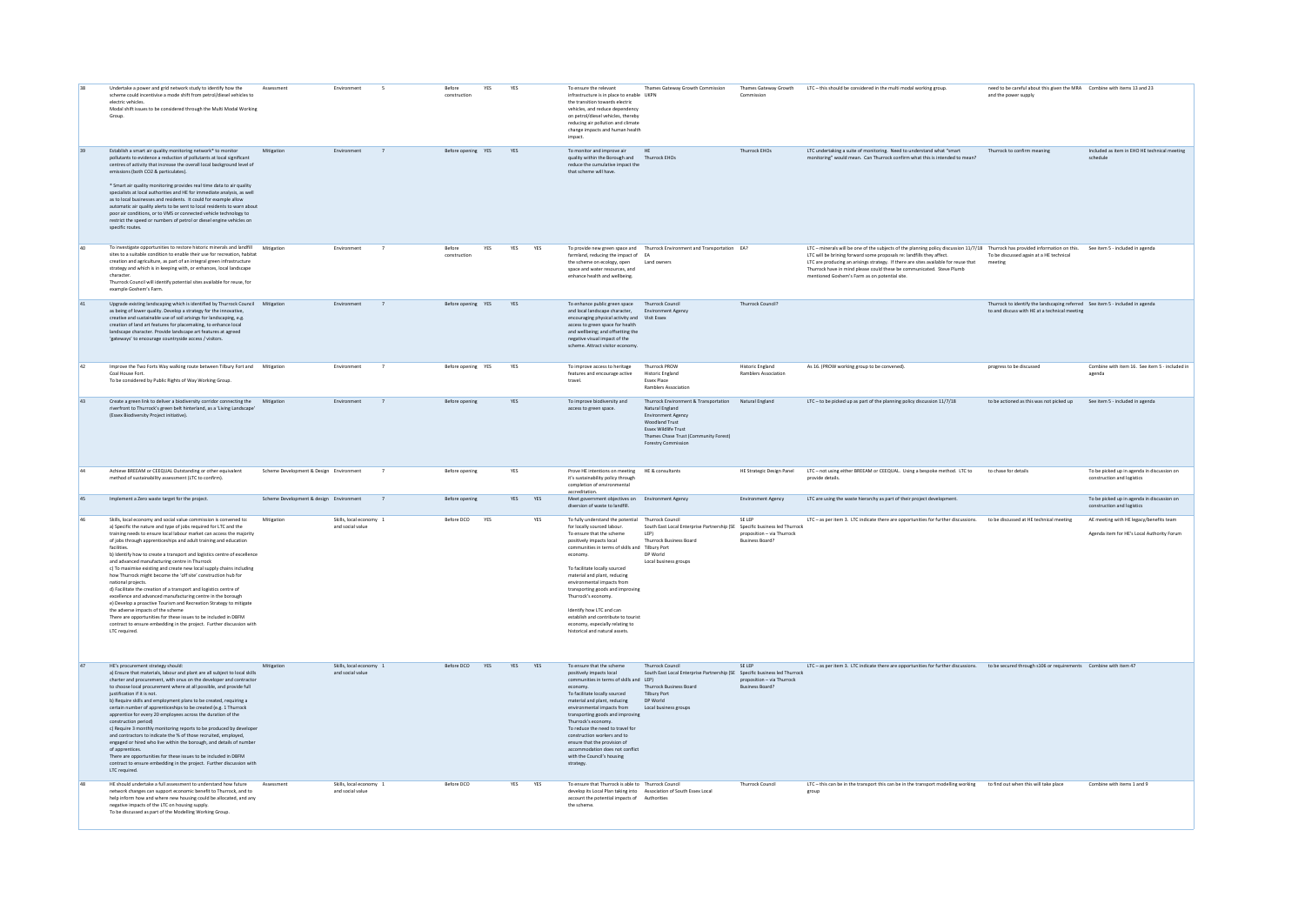|    | Undertake a power and grid network study to identify how the<br>scheme could incentivise a mode shift from petrol/diesel vehicles to<br>electric vehicles.<br>Modal shift issues to be considered through the Multi Modal Working<br>Group                                                                                                                                                                                                                                                                                                                                                                                                                                                                                                                                                                                                                                                                                                                                                              | Assessment                              | Environment                                 |                | Refore<br>construction | YES | YES        |            | To ensure the relevant<br>infrastructure is in place to enable UKPN<br>the transition towards electric<br>vehicles, and reduce dependency<br>on petrol/diesel vehicles, thereby<br>reducing air pollution and climate<br>change impacts and human health<br>impact.                                                                                                                                                                                                                                         | Thames Gateway Growth Commission                                                                                                                                                                                | Commission                                                                                       | Thames Gateway Growth LTC - this should be considered in the multi modal working group.                                                                                                                                                                                                                                                                                                                                                                   | need to be careful about this given the MRA Combine with items 13 and 23<br>and the power supply                               |                                                                                       |
|----|---------------------------------------------------------------------------------------------------------------------------------------------------------------------------------------------------------------------------------------------------------------------------------------------------------------------------------------------------------------------------------------------------------------------------------------------------------------------------------------------------------------------------------------------------------------------------------------------------------------------------------------------------------------------------------------------------------------------------------------------------------------------------------------------------------------------------------------------------------------------------------------------------------------------------------------------------------------------------------------------------------|-----------------------------------------|---------------------------------------------|----------------|------------------------|-----|------------|------------|-------------------------------------------------------------------------------------------------------------------------------------------------------------------------------------------------------------------------------------------------------------------------------------------------------------------------------------------------------------------------------------------------------------------------------------------------------------------------------------------------------------|-----------------------------------------------------------------------------------------------------------------------------------------------------------------------------------------------------------------|--------------------------------------------------------------------------------------------------|-----------------------------------------------------------------------------------------------------------------------------------------------------------------------------------------------------------------------------------------------------------------------------------------------------------------------------------------------------------------------------------------------------------------------------------------------------------|--------------------------------------------------------------------------------------------------------------------------------|---------------------------------------------------------------------------------------|
| 39 | Establish a smart air quality monitoring network* to monitor<br>pollutants to evidence a reduction of pollutants at local significant<br>centres of activity that increase the overall local background level of<br>emissions (both CO2 & particulates).<br>* Smart air quality monitoring provides real time data to air quality<br>specialists at local authorities and HE for immediate analysis, as well<br>as to local businesses and residents. It could for example allow<br>automatic air quality alerts to be sent to local residents to warn about<br>poor air conditions, or to VMS or connected vehicle technology to<br>restrict the speed or numbers of petrol or diesel engine vehicles on<br>specific routes.                                                                                                                                                                                                                                                                           | Mitigation                              | Environment                                 | $\overline{7}$ | Before opening YES YES |     |            |            | To monitor and improve air<br>quality within the Borough and Thurrock EHOs<br>reduce the cumulative impact the<br>that scheme will have                                                                                                                                                                                                                                                                                                                                                                     | HF.                                                                                                                                                                                                             | Thurrock FHOs                                                                                    | LTC undertaking a suite of monitoring. Need to understand what "smart<br>monitoring" would mean. Can Thurrock confirm what this is intended to mean                                                                                                                                                                                                                                                                                                       | Thurrock to confirm meaning                                                                                                    | Included as item in EHO HE technical meeting<br>schedule                              |
| 40 | To investigate opportunities to restore historic minerals and landfill Mitigation<br>sites to a suitable condition to enable their use for recreation, habitat<br>creation and agriculture, as part of an integral green infrastructure<br>strategy and which is in keeping with, or enhances, local landscape<br>character<br>Thurrock Council will identify potential sites available for reuse, for<br>example Goshem's Farm.                                                                                                                                                                                                                                                                                                                                                                                                                                                                                                                                                                        |                                         | Environment                                 | $\overline{7}$ | Before<br>construction | YES | YES        | YES        | farmland, reducing the impact of EA<br>the scheme on ecology, open<br>space and water resources, and<br>enhance health and wellbeing.                                                                                                                                                                                                                                                                                                                                                                       | To provide new green space and Thurrock Environment and Transportation EA?<br>Land owners                                                                                                                       |                                                                                                  | LTC - minerals will be one of the subjects of the planning policy discussion 11/7/18 Thurrock has provided information on this. See item 5 - included in agenda<br>LTC will be brining forward some proposals re: landfills they affect.<br>LTC are producing an arisings strategy. If there are sites available for reuse that<br>Thurrock have in mind please could these be communicated. Steve Plumb<br>mentioned Goshem's Farm as on potential site. | To be discussed again at a HE technical<br>meeting                                                                             |                                                                                       |
| 41 | Upgrade existing landscaping which is identified by Thurrock Council Mitigation<br>as being of lower quality. Develop a strategy for the innovative,<br>creative and sustainable use of soil arisings for landscaping, e.g.<br>creation of land art features for placemaking, to enhance local<br>landscape character. Provide landscape art features at agreed<br>'gateways' to encourage countryside access / visitors.                                                                                                                                                                                                                                                                                                                                                                                                                                                                                                                                                                               |                                         | Environment                                 | $\overline{7}$ | Before opening YES     |     | YES        |            | To enhance public green space<br>and local landscape character,<br>encouraging physical activity and Visit Essex<br>access to green space for health<br>and wellbeing: and offsetting the<br>negative visual impact of the<br>scheme. Attract visitor economy.                                                                                                                                                                                                                                              | Thurrock Council<br><b>Environment Agency</b>                                                                                                                                                                   | Thurrock Council?                                                                                |                                                                                                                                                                                                                                                                                                                                                                                                                                                           | Thurrock to identify the landscaping referred See item 5 - included in agenda<br>to and discuss with HE at a technical meeting |                                                                                       |
| 42 | Improve the Two Forts Way walking route between Tilbury Fort and Mitigation<br>Coal House Fort.<br>To be considered by Public Rights of Way Working Group.                                                                                                                                                                                                                                                                                                                                                                                                                                                                                                                                                                                                                                                                                                                                                                                                                                              |                                         | Environment                                 | $\overline{z}$ | Before opening YES     |     | <b>YFS</b> |            | To improve access to beritage<br>features and encourage active<br>travel.                                                                                                                                                                                                                                                                                                                                                                                                                                   | Thurrock PROW<br><b>Historic England</b><br>Essex Place<br>Ramblers Association                                                                                                                                 | Historic England<br>Ramblers Association                                                         | As 16. (PROW working group to be convened).                                                                                                                                                                                                                                                                                                                                                                                                               | progress to be discussed                                                                                                       | Combine with item 16 See item 5 - included in<br>agenda                               |
| 43 | Create a green link to deliver a biodiversity corridor connecting the Mitigation<br>riverfront to Thurrock's green belt hinterland, as a 'Living Landscape'<br>(Essex Biodiversity Project initiative).                                                                                                                                                                                                                                                                                                                                                                                                                                                                                                                                                                                                                                                                                                                                                                                                 |                                         | Environment                                 | $\overline{z}$ | Refore opening         |     | <b>YFS</b> |            | To improve biodiversity and<br>access to green space.                                                                                                                                                                                                                                                                                                                                                                                                                                                       | Thurrock Environment & Transportation Natural England<br>Natural England<br>Environment Agency<br>Woodland Trust<br>Essex Wildlife Trust<br>Thames Chase Trust (Community Forest)<br><b>Forestry Commission</b> |                                                                                                  | LTC - to be picked up as part of the planning policy discussion 11/7/18                                                                                                                                                                                                                                                                                                                                                                                   | to be actioned as this was not nicked up                                                                                       | See item 5 - included in agenda                                                       |
| 44 | Achieve BREEAM or CEEQUAL Outstanding or other equivalent<br>method of sustainability assessment (LTC to confirm).                                                                                                                                                                                                                                                                                                                                                                                                                                                                                                                                                                                                                                                                                                                                                                                                                                                                                      | Scheme Development & Design Environment |                                             | $\overline{7}$ | Before opening         |     | <b>YFS</b> |            | Prove HE intentions on meeting HF & consultants<br>it's sustainability policy through<br>completion of environmenta<br>accreditation.                                                                                                                                                                                                                                                                                                                                                                       |                                                                                                                                                                                                                 |                                                                                                  | HE Strategic Design Panel LTC - not using either BREEAM or CEEQUAL. Using a bespoke method. LTC to<br>provide details.                                                                                                                                                                                                                                                                                                                                    | to chase for details                                                                                                           | To be picked up in agenda in discussion on<br>construction and logistics              |
| 45 | Implement a Zero waste target for the project                                                                                                                                                                                                                                                                                                                                                                                                                                                                                                                                                                                                                                                                                                                                                                                                                                                                                                                                                           | Scheme Development & design Environment |                                             | $\overline{7}$ | <b>Refore opening</b>  |     | <b>YFS</b> | <b>YFS</b> | Meet government objectives on Environment Agency<br>diversion of waste to landfill.                                                                                                                                                                                                                                                                                                                                                                                                                         |                                                                                                                                                                                                                 | <b>Environment Agency</b>                                                                        | LTC are using the waste hierarchy as part of their project development.                                                                                                                                                                                                                                                                                                                                                                                   |                                                                                                                                | To be picked up in agenda in discussion on<br>construction and logistics              |
|    | Skills, local economy and social value commission is convened to:<br>a) Specific the nature and type of jobs required for LTC and the<br>training needs to ensure local labour market can access the majority<br>of jobs through apprenticeships and adult training and education<br>facilities.<br>b) Identify how to create a transport and logistics centre of excellence<br>and advanced manufacturing centre in Thurrock<br>c) To maximise existing and create new local supply chains including<br>how Thurrock might become the 'off site' construction hub for<br>national projects.<br>d) Facilitate the creation of a transport and logistics centre of<br>excellence and advanced manufacturing centre in the borough<br>e) Develop a proactive Tourism and Recreation Strategy to mitigate<br>the adverse impacts of the scheme<br>There are opportunities for these issues to be included in DBFM<br>contract to ensure embedding in the project. Further discussion with<br>LTC required. | Mitigation                              | Skills, local economy 1<br>and social value |                | Before DCO             | YES |            | YES        | To fully understand the potential Thurrock Council<br>for locally sourced labour.<br>To ensure that the scheme<br>positively impacts local<br>communities in terms of skills and Tilbury Port<br>economy.<br>To facilitate locally sourced<br>material and plant, reducing<br>environmental impacts from<br>transporting goods and improving<br>Thurrock's economy.<br>Identify how LTC and can<br>establish and contribute to tourist<br>economy, especially relating to<br>historical and natural assets. | South East Local Enterprise Partnership (SE<br>LEP1<br>Thurrock Business Board<br>DP World<br>Local business groups                                                                                             | SE LEP<br>Specific business led Thurrock<br>proposition - via Thurrock<br><b>Business Board?</b> | LTC - as per item 3. LTC indicate there are opportunities for further discussions. to be discussed at HE technical meeting                                                                                                                                                                                                                                                                                                                                |                                                                                                                                | AE meeting with HE legacy/benefits team<br>Agenda item for HF's Local Authority Forum |
| 47 | HF's procurement strategy should:<br>a) Ensure that materials, labour and plant are all subject to local skills<br>charter and procurement, with onus on the developer and contractor<br>to choose local procurement where at all possible, and provide full<br>iustification if it is not.<br>b) Require skills and employment plans to be created, requiring a<br>certain number of apprenticeships to be created (e.g. 1 Thurrock<br>apprentice for every 20 employees across the duration of the<br>construction period)<br>c) Require 3 monthly monitoring reports to be produced by developer<br>and contractors to indicate the % of those recruited, employed<br>engaged or hired who live within the borough, and details of number<br>of apprentices.<br>There are opportunities for these issues to be included in DBFM<br>contract to ensure embedding in the project. Further discussion with<br>LTC required                                                                              | Mitigation                              | Skills, local economy 1<br>and social value |                | Before DCO YES YES YES |     |            |            | To ensure that the scheme<br>positively impacts local<br>communities in terms of skills and LEP)<br>economy.<br>To facilitate locally sourced<br>material and plant, reducing<br>environmental impacts from<br>transporting goods and improving<br>Thurrock's economy.<br>To reduce the need to travel for<br>construction workers and to<br>ensure that the provision of<br>accommodation does not conflict<br>with the Council's housing<br>strategy.                                                     | Thurrock Council<br>South East Local Enterprise Partnership (SE Specific business led Thurrock<br>Thurrock Business Board<br><b>Tilbury Port</b><br>DP World<br>Local business groups                           | SE LEP<br>proposition - via Thurrock<br>Business Board?                                          | LTC - as per item 3. LTC indicate there are opportunities for further discussions. to be secured through s106 or requirements Combine with item 47                                                                                                                                                                                                                                                                                                        |                                                                                                                                |                                                                                       |
| 48 | HE should undertake a full assessment to understand how future<br>network changes can support economic benefit to Thurrock, and to<br>help inform how and where new housing could be allocated, and any<br>negative impacts of the LTC on housing supply.<br>To be discussed as part of the Modelling Working Group.                                                                                                                                                                                                                                                                                                                                                                                                                                                                                                                                                                                                                                                                                    | Assessment                              | Skills, local economy 1<br>and social value |                | Before DCO             |     | YES        | YES        | To ensure that Thurrock is able to Thurrock Council<br>develop its Local Plan taking into Association of South Essex Local<br>account the potential impacts of Authorities<br>the scheme                                                                                                                                                                                                                                                                                                                    |                                                                                                                                                                                                                 | Thurrock Council                                                                                 | LTC - this can be in the transport this can be in the transport modelling working to find out when this will take place<br>group                                                                                                                                                                                                                                                                                                                          |                                                                                                                                | Combine with items 1 and 9                                                            |